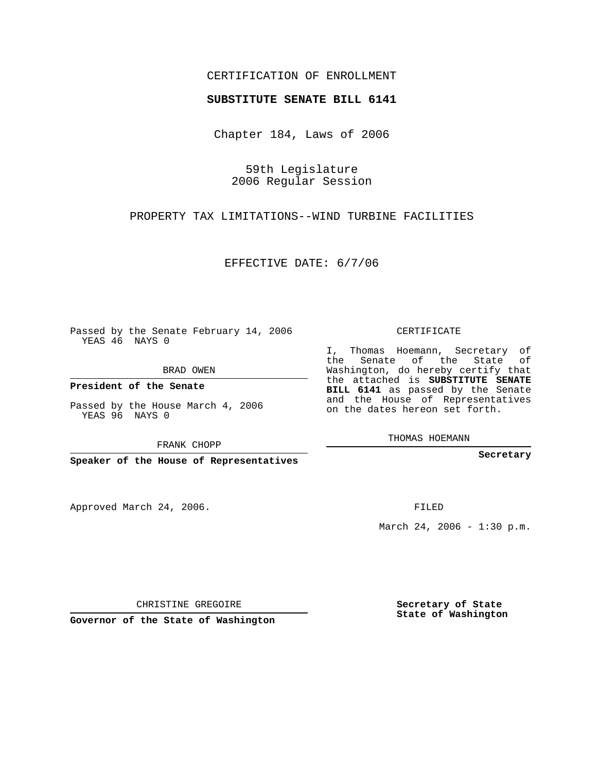## CERTIFICATION OF ENROLLMENT

## **SUBSTITUTE SENATE BILL 6141**

Chapter 184, Laws of 2006

59th Legislature 2006 Regular Session

PROPERTY TAX LIMITATIONS--WIND TURBINE FACILITIES

EFFECTIVE DATE: 6/7/06

Passed by the Senate February 14, 2006 YEAS 46 NAYS 0

BRAD OWEN

**President of the Senate**

Passed by the House March 4, 2006 YEAS 96 NAYS 0

FRANK CHOPP

**Speaker of the House of Representatives**

Approved March 24, 2006.

CERTIFICATE

I, Thomas Hoemann, Secretary of the Senate of the State of Washington, do hereby certify that the attached is **SUBSTITUTE SENATE BILL 6141** as passed by the Senate and the House of Representatives on the dates hereon set forth.

THOMAS HOEMANN

**Secretary**

FILED

March 24, 2006 -  $1:30$  p.m.

CHRISTINE GREGOIRE

**Governor of the State of Washington**

**Secretary of State State of Washington**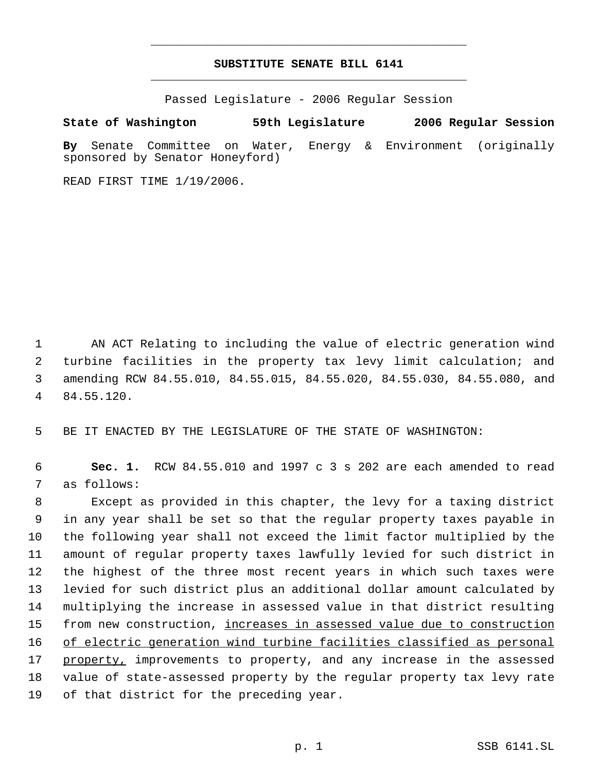## **SUBSTITUTE SENATE BILL 6141** \_\_\_\_\_\_\_\_\_\_\_\_\_\_\_\_\_\_\_\_\_\_\_\_\_\_\_\_\_\_\_\_\_\_\_\_\_\_\_\_\_\_\_\_\_

\_\_\_\_\_\_\_\_\_\_\_\_\_\_\_\_\_\_\_\_\_\_\_\_\_\_\_\_\_\_\_\_\_\_\_\_\_\_\_\_\_\_\_\_\_

Passed Legislature - 2006 Regular Session

**State of Washington 59th Legislature 2006 Regular Session**

**By** Senate Committee on Water, Energy & Environment (originally sponsored by Senator Honeyford)

READ FIRST TIME 1/19/2006.

 AN ACT Relating to including the value of electric generation wind turbine facilities in the property tax levy limit calculation; and amending RCW 84.55.010, 84.55.015, 84.55.020, 84.55.030, 84.55.080, and 84.55.120.

BE IT ENACTED BY THE LEGISLATURE OF THE STATE OF WASHINGTON:

 **Sec. 1.** RCW 84.55.010 and 1997 c 3 s 202 are each amended to read as follows:

 Except as provided in this chapter, the levy for a taxing district in any year shall be set so that the regular property taxes payable in the following year shall not exceed the limit factor multiplied by the amount of regular property taxes lawfully levied for such district in the highest of the three most recent years in which such taxes were levied for such district plus an additional dollar amount calculated by multiplying the increase in assessed value in that district resulting 15 from new construction, <u>increases in assessed value due to construction</u> of electric generation wind turbine facilities classified as personal 17 property, improvements to property, and any increase in the assessed value of state-assessed property by the regular property tax levy rate of that district for the preceding year.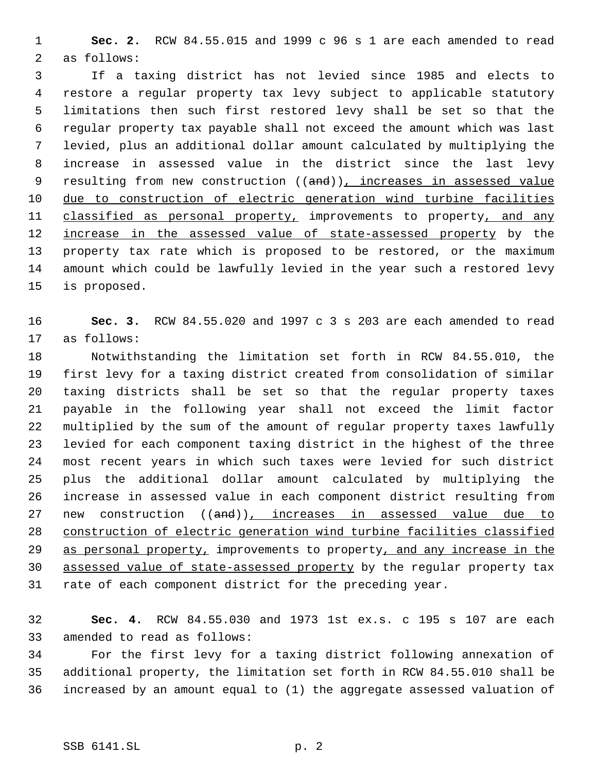**Sec. 2.** RCW 84.55.015 and 1999 c 96 s 1 are each amended to read as follows:

 If a taxing district has not levied since 1985 and elects to restore a regular property tax levy subject to applicable statutory limitations then such first restored levy shall be set so that the regular property tax payable shall not exceed the amount which was last levied, plus an additional dollar amount calculated by multiplying the increase in assessed value in the district since the last levy 9 resulting from new construction ((and)), increases in assessed value due to construction of electric generation wind turbine facilities 11 classified as personal property, improvements to property, and any 12 <u>increase in the assessed value of state-assessed property</u> by the property tax rate which is proposed to be restored, or the maximum amount which could be lawfully levied in the year such a restored levy is proposed.

 **Sec. 3.** RCW 84.55.020 and 1997 c 3 s 203 are each amended to read as follows:

 Notwithstanding the limitation set forth in RCW 84.55.010, the first levy for a taxing district created from consolidation of similar taxing districts shall be set so that the regular property taxes payable in the following year shall not exceed the limit factor multiplied by the sum of the amount of regular property taxes lawfully levied for each component taxing district in the highest of the three most recent years in which such taxes were levied for such district plus the additional dollar amount calculated by multiplying the increase in assessed value in each component district resulting from 27 new construction ((and)), increases in assessed value due to construction of electric generation wind turbine facilities classified 29 as personal property, improvements to property, and any increase in the assessed value of state-assessed property by the regular property tax rate of each component district for the preceding year.

 **Sec. 4.** RCW 84.55.030 and 1973 1st ex.s. c 195 s 107 are each amended to read as follows:

 For the first levy for a taxing district following annexation of additional property, the limitation set forth in RCW 84.55.010 shall be increased by an amount equal to (1) the aggregate assessed valuation of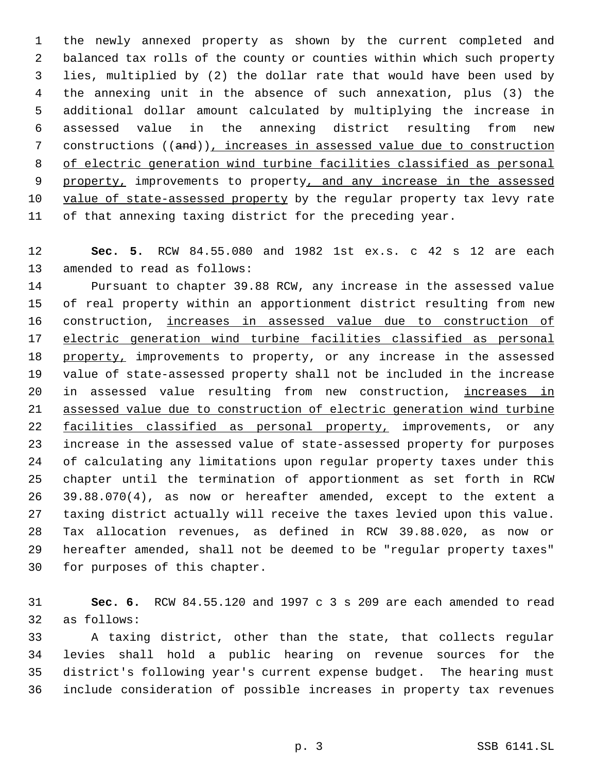the newly annexed property as shown by the current completed and balanced tax rolls of the county or counties within which such property lies, multiplied by (2) the dollar rate that would have been used by the annexing unit in the absence of such annexation, plus (3) the additional dollar amount calculated by multiplying the increase in assessed value in the annexing district resulting from new constructions ((and)), increases in assessed value due to construction of electric generation wind turbine facilities classified as personal 9 property, improvements to property, and any increase in the assessed value of state-assessed property by the regular property tax levy rate of that annexing taxing district for the preceding year.

 **Sec. 5.** RCW 84.55.080 and 1982 1st ex.s. c 42 s 12 are each amended to read as follows:

 Pursuant to chapter 39.88 RCW, any increase in the assessed value of real property within an apportionment district resulting from new construction, increases in assessed value due to construction of electric generation wind turbine facilities classified as personal 18 property, improvements to property, or any increase in the assessed value of state-assessed property shall not be included in the increase in assessed value resulting from new construction, increases in assessed value due to construction of electric generation wind turbine 22 facilities classified as personal property, improvements, or any increase in the assessed value of state-assessed property for purposes of calculating any limitations upon regular property taxes under this chapter until the termination of apportionment as set forth in RCW 39.88.070(4), as now or hereafter amended, except to the extent a taxing district actually will receive the taxes levied upon this value. Tax allocation revenues, as defined in RCW 39.88.020, as now or hereafter amended, shall not be deemed to be "regular property taxes" for purposes of this chapter.

 **Sec. 6.** RCW 84.55.120 and 1997 c 3 s 209 are each amended to read as follows:

 A taxing district, other than the state, that collects regular levies shall hold a public hearing on revenue sources for the district's following year's current expense budget. The hearing must include consideration of possible increases in property tax revenues